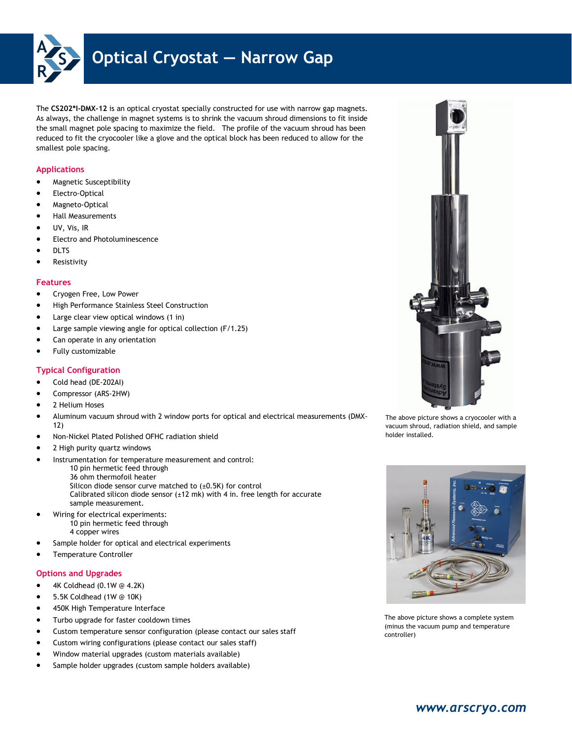

## **Optical Cryostat — Narrow Gap**

The **CS202\*I-DMX-12** is an optical cryostat specially constructed for use with narrow gap magnets. As always, the challenge in magnet systems is to shrink the vacuum shroud dimensions to fit inside the small magnet pole spacing to maximize the field. The profile of the vacuum shroud has been reduced to fit the cryocooler like a glove and the optical block has been reduced to allow for the smallest pole spacing.

#### **Applications**

- Magnetic Susceptibility
- Electro-Optical
- Magneto-Optical
- Hall Measurements
- UV, Vis, IR
- Electro and Photoluminescence
- DLTS
- Resistivity

#### **Features**

- **•** Cryogen Free, Low Power
- High Performance Stainless Steel Construction
- Large clear view optical windows (1 in)
- Large sample viewing angle for optical collection (F/1.25)
- Can operate in any orientation
- Fully customizable

#### **Typical Configuration**

- Cold head (DE-202AI)
- Compressor (ARS-2HW)
- 2 Helium Hoses
- Aluminum vacuum shroud with 2 window ports for optical and electrical measurements (DMX-12)
- Non-Nickel Plated Polished OFHC radiation shield
- 2 High purity quartz windows
- Instrumentation for temperature measurement and control: 10 pin hermetic feed through 36 ohm thermofoil heater Silicon diode sensor curve matched to  $(\pm 0.5K)$  for control Calibrated silicon diode sensor  $(\pm 12 \text{ mk})$  with 4 in. free length for accurate sample measurement.
- Wiring for electrical experiments: 10 pin hermetic feed through 4 copper wires
- Sample holder for optical and electrical experiments
- Temperature Controller

#### **Options and Upgrades**

- 4K Coldhead (0.1W @ 4.2K)
- 5.5K Coldhead (1W @ 10K)
- 450K High Temperature Interface
- Turbo upgrade for faster cooldown times
- Custom temperature sensor configuration (please contact our sales staff
- Custom wiring configurations (please contact our sales staff)
- Window material upgrades (custom materials available)
- Sample holder upgrades (custom sample holders available)



The above picture shows a cryocooler with a vacuum shroud, radiation shield, and sample holder installed.



The above picture shows a complete system (minus the vacuum pump and temperature controller)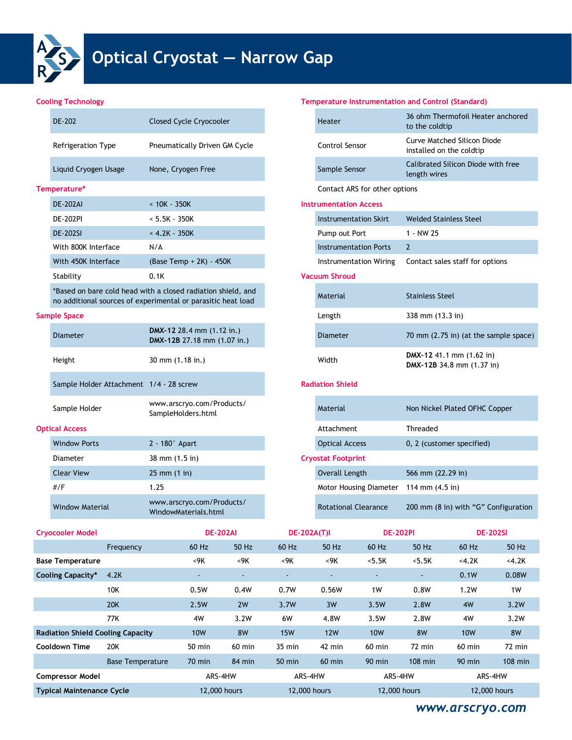

# **Optical Cryostat – Narrow Gap**

|  | DE-202                    | <b>Closed Cycle Cryocooler</b> |                               | <b>Heater</b>                 | 36 ohm Thermofoil Heater anchor<br>to the coldtip       |  |  |
|--|---------------------------|--------------------------------|-------------------------------|-------------------------------|---------------------------------------------------------|--|--|
|  | <b>Refrigeration Type</b> | Pneumatically Driven GM Cycle  |                               | Control Sensor                | Curve Matched Silicon Diode<br>installed on the coldtip |  |  |
|  | Liquid Cryogen Usage      | None, Cryogen Free             |                               | Sample Sensor                 | Calibrated Silicon Diode with free<br>length wires      |  |  |
|  | Temperature*              |                                |                               | Contact ARS for other options |                                                         |  |  |
|  | <b>DE-202AI</b>           | $< 10K - 350K$                 | <b>Instrumentation Access</b> |                               |                                                         |  |  |
|  | <b>DE-202PI</b>           | $< 5.5K - 350K$                |                               | Instrumentation Skirt         | Welded Stainless Steel                                  |  |  |
|  | <b>DE-202SI</b>           | $< 4.2K - 350K$                |                               | Pump out Port                 | 1 - NW 25                                               |  |  |
|  | With 800K Interface       | N/A                            |                               | <b>Instrumentation Ports</b>  | $\overline{2}$                                          |  |  |
|  | With 450K Interface       | $(Base Temp + 2K) - 450K$      |                               | Instrumentation Wiring        | Contact sales staff for options                         |  |  |
|  | Stability                 | 0.1K                           |                               | <b>Vacuum Shroud</b>          |                                                         |  |  |
|  |                           |                                |                               |                               |                                                         |  |  |

#### **Sample Space**

| <b>Diameter</b> | DMX-12 28.4 mm $(1.12 \text{ in.})$<br>DMX-12B 27.18 mm (1.07 in.) |  | Diameter                | 70 mm (2.75 in) (at the sar                                    |
|-----------------|--------------------------------------------------------------------|--|-------------------------|----------------------------------------------------------------|
| Height          | 30 mm $(1.18$ in.)                                                 |  | Width                   | DMX-12 41.1 mm $(1.62 \text{ in})$<br>DMX-12B 34.8 mm (1.37 in |
|                 | Sample Holder Attachment   1/4 - 28 screw                          |  | <b>Radiation Shield</b> |                                                                |
| Sample Holder   | www.arscryo.com/Products/<br>SampleHolders.html                    |  | Material                | Non Nickel Plated OFHC Co                                      |

#### **Optical Access**

| <b>Window Ports</b>    | $2 - 180^\circ$ Apart                             | <b>Optical Access</b>                  | 0, 2 (customer specified) |  |
|------------------------|---------------------------------------------------|----------------------------------------|---------------------------|--|
| Diameter               | 38 mm (1.5 in)                                    | <b>Cryostat Footprint</b>              |                           |  |
| <b>Clear View</b>      | $25 \, \text{mm}$ (1 in)                          | Overall Length                         | 566 mm (22.29 in)         |  |
| #/F                    | 1.25                                              | Motor Housing Diameter 114 mm (4.5 in) |                           |  |
| <b>Window Material</b> | www.arscryo.com/Products/<br>WindowMaterials.html | <b>Rotational Clearance</b>            | 200 mm (8 in) with "G" (  |  |

#### **Cooling Technology Temperature Instrumentation and Control (Standard)**

| DE-202                                    | <b>Closed Cycle Cryocooler</b>                                                                                               |                           | Heater                        | 36 ohm Thermofoil Heater anchored<br>to the coldtip            |  |  |  |
|-------------------------------------------|------------------------------------------------------------------------------------------------------------------------------|---------------------------|-------------------------------|----------------------------------------------------------------|--|--|--|
| <b>Refrigeration Type</b>                 | Pneumatically Driven GM Cycle                                                                                                |                           | Control Sensor                | <b>Curve Matched Silicon Diode</b><br>installed on the coldtip |  |  |  |
| Liquid Cryogen Usage                      | None, Cryogen Free                                                                                                           |                           | Sample Sensor                 | Calibrated Silicon Diode with free<br>length wires             |  |  |  |
| perature*                                 |                                                                                                                              |                           | Contact ARS for other options |                                                                |  |  |  |
| <b>DE-202AI</b>                           | $< 10K - 350K$                                                                                                               |                           | <b>Instrumentation Access</b> |                                                                |  |  |  |
| <b>DE-202PI</b>                           | $< 5.5K - 350K$                                                                                                              |                           | <b>Instrumentation Skirt</b>  | <b>Welded Stainless Steel</b>                                  |  |  |  |
| <b>DE-202SI</b>                           | $< 4.2K - 350K$                                                                                                              |                           | Pump out Port                 | 1 - NW 25                                                      |  |  |  |
| With 800K Interface                       | N/A                                                                                                                          |                           | <b>Instrumentation Ports</b>  | $\overline{2}$                                                 |  |  |  |
| With 450K Interface                       | (Base Temp + 2K) - 450K                                                                                                      |                           | <b>Instrumentation Wiring</b> | Contact sales staff for options                                |  |  |  |
| Stability                                 | 0.1K                                                                                                                         |                           | <b>Vacuum Shroud</b>          |                                                                |  |  |  |
|                                           | *Based on bare cold head with a closed radiation shield, and<br>no additional sources of experimental or parasitic heat load |                           | Material                      | <b>Stainless Steel</b>                                         |  |  |  |
| ole Space                                 |                                                                                                                              |                           | Length                        | 338 mm (13.3 in)                                               |  |  |  |
| <b>Diameter</b>                           | DMX-12 28.4 mm (1.12 in.)<br>DMX-12B 27.18 mm (1.07 in.)                                                                     |                           | <b>Diameter</b>               | 70 mm (2.75 in) (at the sample space)                          |  |  |  |
| Height                                    | 30 mm (1.18 in.)                                                                                                             |                           | Width                         | DMX-12 41.1 mm (1.62 in)<br>DMX-12B 34.8 mm (1.37 in)          |  |  |  |
| Sample Holder Attachment   1/4 - 28 screw |                                                                                                                              |                           | <b>Radiation Shield</b>       |                                                                |  |  |  |
| Sample Holder                             | www.arscryo.com/Products/<br>SampleHolders.html                                                                              |                           | Material                      | Non Nickel Plated OFHC Copper                                  |  |  |  |
| al Access:                                |                                                                                                                              |                           | Attachment                    | <b>Threaded</b>                                                |  |  |  |
| <b>Window Ports</b>                       | $2 - 180^\circ$ Apart                                                                                                        |                           | <b>Optical Access</b>         | 0, 2 (customer specified)                                      |  |  |  |
| Diameter                                  | 38 mm (1.5 in)                                                                                                               | <b>Cryostat Footprint</b> |                               |                                                                |  |  |  |
| <b>Clear View</b>                         | $25 \, \text{mm}$ (1 in)                                                                                                     |                           | <b>Overall Length</b>         | 566 mm (22.29 in)                                              |  |  |  |

| ---------                                          |  |                                        |                                      |
|----------------------------------------------------|--|----------------------------------------|--------------------------------------|
| 1.25                                               |  | Motor Housing Diameter 114 mm (4.5 in) |                                      |
| //www.arscryo.com/Products<br>WindowMaterials.html |  |                                        | 200 mm (8 in) with "G" Configuration |

| <b>Cryocooler Model</b>                  |                         | <b>DE-202AI</b> |                  | <b>DE-202A(T)I</b> |                          | <b>DE-202PI</b>          |                          | <b>DE-202SI</b> |           |
|------------------------------------------|-------------------------|-----------------|------------------|--------------------|--------------------------|--------------------------|--------------------------|-----------------|-----------|
|                                          | Frequency               | $60$ Hz         | 50 Hz            | $60$ Hz            | 50 Hz                    | 60 Hz                    | 50 Hz                    | 60 Hz           | 50 Hz     |
| <b>Base Temperature</b>                  |                         | <9K             | $<$ 9K           | $<$ 9K             | <9K                      | < 5.5K                   | < 5.5K                   | <4.2K           | <4.2K     |
| <b>Cooling Capacity*</b>                 | 4.2K                    | ٠               | $\sim$           | ٠                  | $\overline{\phantom{a}}$ | $\overline{\phantom{a}}$ | $\overline{\phantom{a}}$ | 0.1W            | 0.08W     |
|                                          | 10K                     | 0.5W            | 0.4W             | 0.7W               | 0.56W                    | 1W                       | 0.8W                     | 1.2W            | 1W        |
|                                          | <b>20K</b>              | 2.5W            | 2W               | 3.7W               | 3W                       | 3.5W                     | 2.8W                     | 4W              | 3.2W      |
|                                          | 77K                     | 4W              | 3.2W             | 6W                 | 4.8W                     | 3.5W                     | 2.8W                     | 4W              | 3.2W      |
| <b>Radiation Shield Cooling Capacity</b> |                         | <b>10W</b>      | 8W               | <b>15W</b>         | <b>12W</b>               | 10W                      | 8W                       | <b>10W</b>      | 8W        |
| Cooldown Time                            | 20K                     | 50 min          | $60$ min         | $35$ min           | 42 min                   | $60$ min                 | 72 min                   | $60$ min        | 72 min    |
|                                          | <b>Base Temperature</b> | $70$ min        | $84 \text{ min}$ | $50$ min           | $60$ min                 | $90$ min                 | $108$ min                | $90$ min        | $108$ min |
| <b>Compressor Model</b>                  |                         |                 | ARS-4HW          |                    | ARS-4HW                  |                          | ARS-4HW                  | ARS-4HW         |           |
| <b>Typical Maintenance Cycle</b>         |                         |                 | 12,000 hours     |                    | 12,000 hours             |                          | 12,000 hours             | 12,000 hours    |           |

## *www.arscryo.com*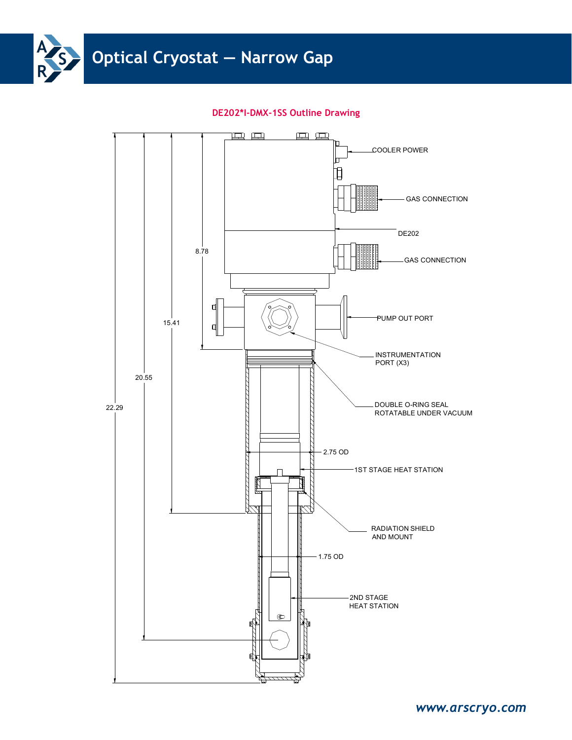

#### **DE202\*I-DMX-1SS Outline Drawing**